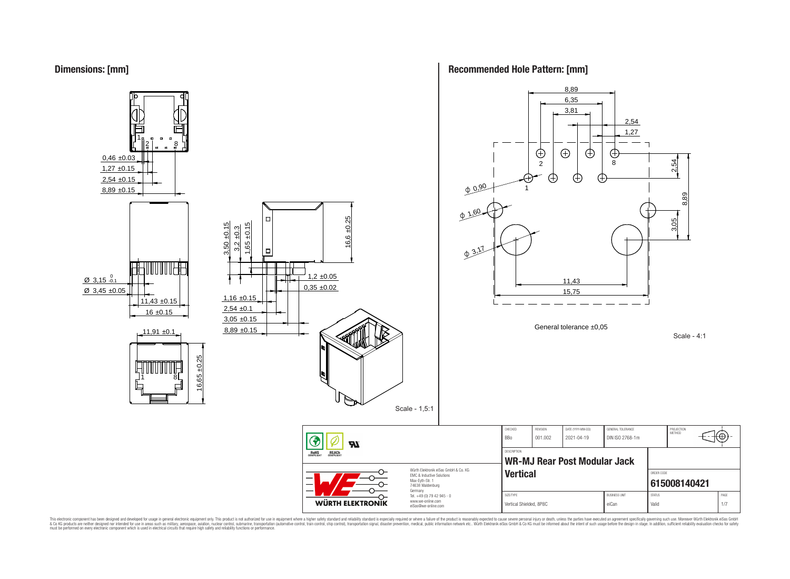



**Recommended Hole Pattern: [mm]**

This electronic component has been designed and developed for usage in general electronic equipment only. This product is not authorized for subserved requipment where a higher selection equipment where a higher selection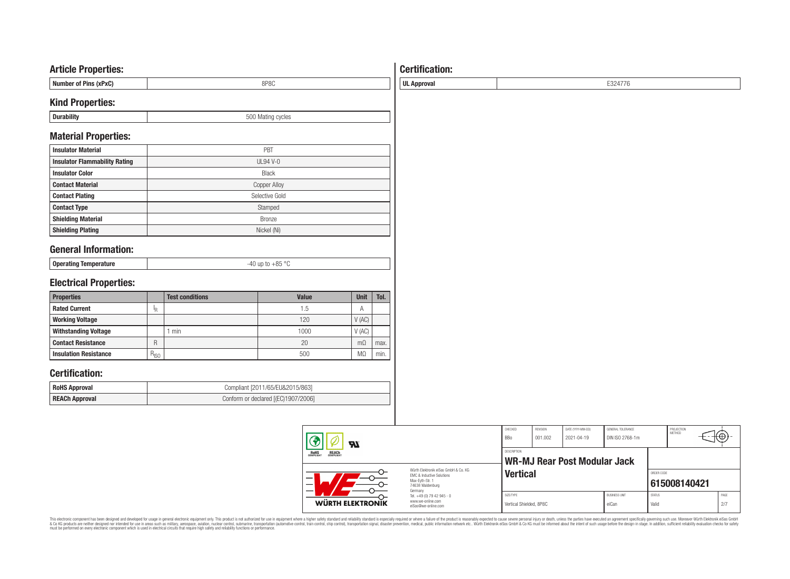### **Article Properties:**

| Number of Pins (xPxC) | SP 8U |
|-----------------------|-------|
|                       |       |

### **Kind Properties:**

| -<br>- | $\sim$<br>evcles<br>. וו ורי<br><b>IVIS</b><br>,,,,<br>$\cdot$ |
|--------|----------------------------------------------------------------|
|        |                                                                |

### **Material Properties:**

| <b>Insulator Material</b>            | PBT                 |
|--------------------------------------|---------------------|
| <b>Insulator Flammability Rating</b> | $UL94V-0$           |
| <b>Insulator Color</b>               | <b>Black</b>        |
| <b>Contact Material</b>              | <b>Copper Alloy</b> |
| <b>Contact Plating</b>               | Selective Gold      |
| <b>Contact Type</b>                  | Stamped             |
| <b>Shielding Material</b>            | <b>Bronze</b>       |
| <b>Shielding Plating</b>             | Nickel (Ni)         |

## **General Information:**

| Oper:<br><b>Portaming</b> | - - - |
|---------------------------|-------|
|                           |       |

# **Electrical Properties:**

| <b>Properties</b>            |           | <b>Test conditions</b> | <b>Value</b> | Unit           | Tol. |
|------------------------------|-----------|------------------------|--------------|----------------|------|
| <b>Rated Current</b>         | ΙR        |                        | 1.5          | Α              |      |
| <b>Working Voltage</b>       |           |                        | 120          | V(AC)          |      |
| <b>Withstanding Voltage</b>  |           | min                    | 1000         | V(AC)          |      |
| <b>Contact Resistance</b>    | R         |                        | 20           | m <sub>O</sub> | max. |
| <b>Insulation Resistance</b> | $R_{ISO}$ |                        | 500          | M <sub>2</sub> | min. |

### **Certification:**

| <b>RoHS Approval</b>  | Compliant [2011/65/EU&2015/863]     |
|-----------------------|-------------------------------------|
| <b>REACh Approval</b> | Conform or declared [(EC)1907/2006] |

| $\boldsymbol{\pi}$<br><b>REACH</b><br>COMPLIANT<br><b>ROHS</b><br>COMPLIANT<br>Würth Elektronik eiSos GmbH & Co. KG<br><b>EMC &amp; Inductive Solutions</b><br>Max-Evth-Str. 1<br>$\overline{\phantom{0}}$<br>74638 Waldenburg |                                                                                   | CHECKED<br><b>BBo</b>                | REVISION<br>001.002          | DATE (YYYY-MM-DD)<br>2021-04-19 | GENERAL TOLERANCE<br>DIN ISO 2768-1m |                        | PROJECTION<br>METHOD | ₩           |
|--------------------------------------------------------------------------------------------------------------------------------------------------------------------------------------------------------------------------------|-----------------------------------------------------------------------------------|--------------------------------------|------------------------------|---------------------------------|--------------------------------------|------------------------|----------------------|-------------|
|                                                                                                                                                                                                                                |                                                                                   | <b>DESCRIPTION</b>                   | WR-MJ Rear Post Modular Jack |                                 |                                      |                        |                      |             |
|                                                                                                                                                                                                                                |                                                                                   | <b>Vertical</b>                      |                              |                                 |                                      | ORDER CODE             | 615008140421         |             |
| WÜRTH ELEKTRONIK                                                                                                                                                                                                               | Germany<br>Tel. +49 (0) 79 42 945 - 0<br>www.we-online.com<br>eiSos@we-online.com | SIZE/TYPE<br>Vertical Shielded, 8P8C |                              |                                 | <b>BUSINESS UNIT</b><br>eiCan        | <b>STATUS</b><br>Valid |                      | PAGE<br>2/7 |

# This electronic component has been designed and developed for usage in general electronic equipment only. This product is not authorized for subserved requipment where a higher selection equipment where a higher selection

# **Certification:**

**UL Approval** E324776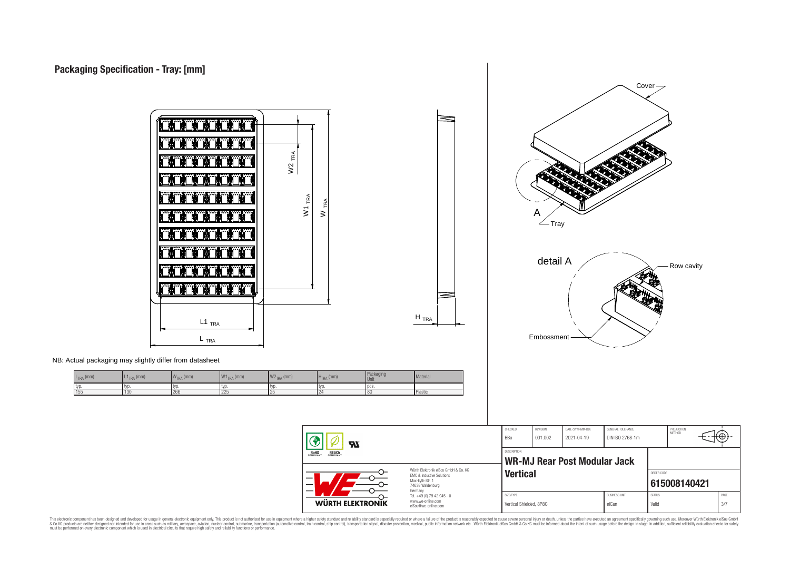L<sub>TRA</sub> (mm)



This electronic component has been designed and developed for usage in general electronic equipment only. This product is not authorized for subserved requipment where a higher selection equipment where a higher selection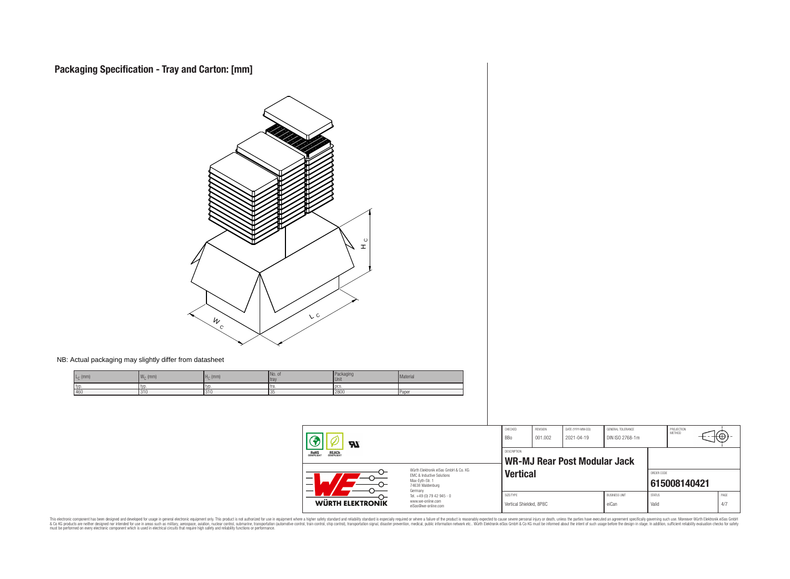$L_{\text{C}}$  (mm) and  $\mathbb{W}_{\text{C}}$ 

 $W_C$  (mm)



This electronic component has been designed and developed for usage in general electronic equipment only. This product is not authorized for subserved requipment where a higher selection equipment where a higher selection

**WÜRTH ELEKTRONIK** 

Würth Elektronik eiSos GmbH & Co. KG EMC & Inductive Solutions Max-Eyth-Str. 1 74638 Waldenburg Germany Tel. +49 (0) 79 42 945 - 0 www.we-online.com eiSos@we-online.com

PROJECTION<br>METHOD

⊕

**[615008140421](https://www.we-online.com/catalog/en/article/615008140421)**

**Vertical ORDER CODE** 

SIZE/TYPE BUSINESS UNIT STATUS PAGE Vertical Shielded, 8P8C eiCan values of Valid Valid 4/7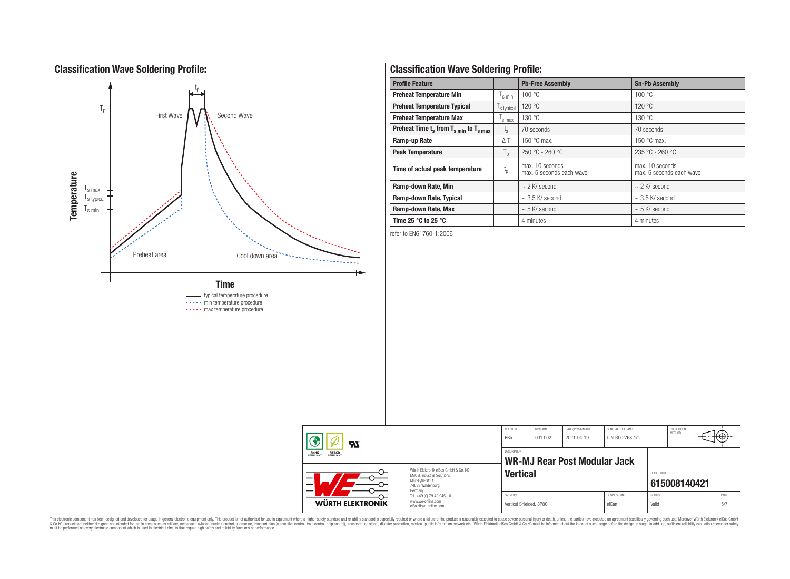### **Classification Wave Soldering Profile:**



# **Classification Wave Soldering Profile:**

| <b>Profile Feature</b>                             |                           | <b>Pb-Free Assembly</b>                     | <b>Sn-Pb Assembly</b>                       |
|----------------------------------------------------|---------------------------|---------------------------------------------|---------------------------------------------|
| <b>Preheat Temperature Min</b>                     | s min                     | 100 °C                                      | 100 °C                                      |
| <b>Preheat Temperature Typical</b>                 | s typical                 | 120 °C                                      | 120 °C                                      |
| <b>Preheat Temperature Max</b>                     | s max                     | 130 °C                                      | 130 °C                                      |
| Preheat Time $t_s$ from $T_{s,min}$ to $T_{s,max}$ | $I_{S}$                   | 70 seconds                                  | 70 seconds                                  |
| Ramp-up Rate                                       | $\triangle$ T             | 150 $\degree$ C max.                        | 150 $\degree$ C max.                        |
| <b>Peak Temperature</b>                            | $\mathsf{I}_{\mathsf{D}}$ | $250 °C - 260 °C$                           | $235 °C - 260 °C$                           |
| Time of actual peak temperature                    | $\mathfrak{t}_{\rm p}$    | max. 10 seconds<br>max. 5 seconds each wave | max. 10 seconds<br>max. 5 seconds each wave |
| Ramp-down Rate, Min                                |                           | $\sim$ 2 K/ second                          | $\sim$ 2 K/ second                          |
| Ramp-down Rate, Typical                            |                           | $\sim$ 3.5 K/ second                        | $\sim$ 3.5 K/ second                        |
| Ramp-down Rate, Max                                |                           | $\sim$ 5 K/ second                          | $\sim$ 5 K/ second                          |
| Time 25 $^{\circ}$ C to 25 $^{\circ}$ C            |                           | 4 minutes                                   | 4 minutes                                   |

refer to EN61760-1:2006

|  | Ð<br><b>RI</b><br><b>REACH</b><br>COMPLIANT<br><b>ROHS</b><br>COMPLIANT<br>Würth Elektronik eiSos GmbH & Co. KG |                                                                             | CHECKED<br>BBo                                     | REVISION<br>001.002 | DATE (YYYY-MM-DD)<br>2021-04-19 | GENERAL TOLERANCE<br>DIN ISO 2768-1m |                        | PROJECTION<br>METHOD | ⊢← |             |
|--|-----------------------------------------------------------------------------------------------------------------|-----------------------------------------------------------------------------|----------------------------------------------------|---------------------|---------------------------------|--------------------------------------|------------------------|----------------------|----|-------------|
|  |                                                                                                                 |                                                                             | DESCRIPTION<br><b>WR-MJ Rear Post Modular Jack</b> |                     |                                 |                                      |                        |                      |    |             |
|  |                                                                                                                 | EMC & Inductive Solutions<br>Max-Eyth-Str. 1<br>74638 Waldenburg<br>Germany | <b>Vertical</b>                                    |                     |                                 |                                      | ORDER CODE             | 615008140421         |    |             |
|  | <b>WÜRTH ELEKTRONIK</b>                                                                                         | Tel. +49 (0) 79 42 945 - 0<br>www.we-online.com<br>eiSos@we-online.com      | SIZE/TYPE<br>Vertical Shielded, 8P8C               |                     |                                 | <b>BUSINESS UNIT</b><br>eiCan        | <b>STATUS</b><br>Valid |                      |    | PAGE<br>5/7 |

This electronic component has been designed and developed for usage in general electronic equipment only. This product is not authorized for subserved requipment where a higher selection equipment where a higher selection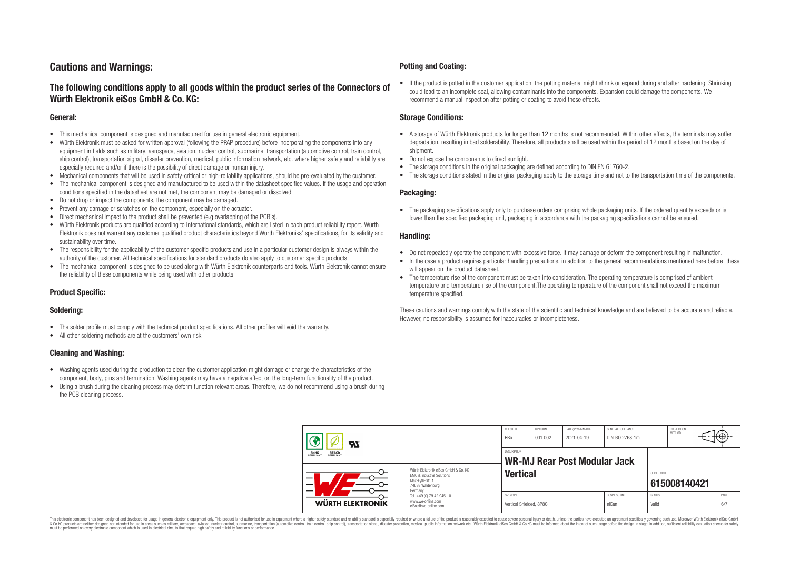### **Cautions and Warnings:**

### **The following conditions apply to all goods within the product series of the Connectors of Würth Elektronik eiSos GmbH & Co. KG:**

#### **General:**

- This mechanical component is designed and manufactured for use in general electronic equipment.
- Würth Elektronik must be asked for written approval (following the PPAP procedure) before incorporating the components into any equipment in fields such as military, aerospace, aviation, nuclear control, submarine, transportation (automotive control, train control, ship control), transportation signal, disaster prevention, medical, public information network, etc. where higher safety and reliability are especially required and/or if there is the possibility of direct damage or human injury.
- Mechanical components that will be used in safety-critical or high-reliability applications, should be pre-evaluated by the customer.
- The mechanical component is designed and manufactured to be used within the datasheet specified values. If the usage and operation conditions specified in the datasheet are not met, the component may be damaged or dissolved.
- Do not drop or impact the components, the component may be damaged.
- Prevent any damage or scratches on the component, especially on the actuator.
- Direct mechanical impact to the product shall be prevented (e.g overlapping of the PCB's).
- Würth Elektronik products are qualified according to international standards, which are listed in each product reliability report. Würth Elektronik does not warrant any customer qualified product characteristics beyond Würth Elektroniks' specifications, for its validity and sustainability over time.
- The responsibility for the applicability of the customer specific products and use in a particular customer design is always within the authority of the customer. All technical specifications for standard products do also apply to customer specific products.
- The mechanical component is designed to be used along with Würth Elektronik counterparts and tools. Würth Elektronik cannot ensure the reliability of these components while being used with other products.

#### **Product Specific:**

#### **Soldering:**

- The solder profile must comply with the technical product specifications. All other profiles will void the warranty.
- All other soldering methods are at the customers' own risk.

#### **Cleaning and Washing:**

- Washing agents used during the production to clean the customer application might damage or change the characteristics of the component, body, pins and termination. Washing agents may have a negative effect on the long-term functionality of the product.
- Using a brush during the cleaning process may deform function relevant areas. Therefore, we do not recommend using a brush during the PCB cleaning process.

#### **Potting and Coating:**

• If the product is potted in the customer application, the potting material might shrink or expand during and after hardening. Shrinking could lead to an incomplete seal, allowing contaminants into the components. Expansion could damage the components. We recommend a manual inspection after potting or coating to avoid these effects.

#### **Storage Conditions:**

- A storage of Würth Elektronik products for longer than 12 months is not recommended. Within other effects, the terminals may suffer degradation, resulting in bad solderability. Therefore, all products shall be used within the period of 12 months based on the day of shipment.
- Do not expose the components to direct sunlight.
- The storage conditions in the original packaging are defined according to DIN EN 61760-2.
- The storage conditions stated in the original packaging apply to the storage time and not to the transportation time of the components.

#### **Packaging:**

• The packaging specifications apply only to purchase orders comprising whole packaging units. If the ordered quantity exceeds or is lower than the specified packaging unit, packaging in accordance with the packaging specifications cannot be ensured.

#### **Handling:**

- Do not repeatedly operate the component with excessive force. It may damage or deform the component resulting in malfunction.
- In the case a product requires particular handling precautions, in addition to the general recommendations mentioned here before, these will appear on the product datasheet
- The temperature rise of the component must be taken into consideration. The operating temperature is comprised of ambient temperature and temperature rise of the component.The operating temperature of the component shall not exceed the maximum temperature specified.

These cautions and warnings comply with the state of the scientific and technical knowledge and are believed to be accurate and reliable. However, no responsibility is assumed for inaccuracies or incompleteness.

| Яï                                                                                                                                                                                                                            |  | CHECKED<br>BBo                                                         | REVISION<br>001.002                  | DATE (YYYY-MM-DD)<br>2021-04-19     | GENERAL TOLERANCE<br>DIN ISO 2768-1m |                               | PROJECTION<br>METHOD   | ι€Ψ∶         |  |             |
|-------------------------------------------------------------------------------------------------------------------------------------------------------------------------------------------------------------------------------|--|------------------------------------------------------------------------|--------------------------------------|-------------------------------------|--------------------------------------|-------------------------------|------------------------|--------------|--|-------------|
| <b>REACH</b><br>COMPLIANT<br><b>ROHS</b><br>COMPLIANT<br>Würth Flektronik eiSos GmbH & Co. KG<br><b>EMC &amp; Inductive Solutions</b><br>$\qquad \qquad -$<br>Max-Evth-Str. 1<br>$\overline{\phantom{0}}$<br>74638 Waldenburg |  | DESCRIPTION                                                            |                                      | <b>WR-MJ Rear Post Modular Jack</b> |                                      |                               |                        |              |  |             |
|                                                                                                                                                                                                                               |  | Germany                                                                | <b>Vertical</b>                      |                                     |                                      |                               | ORDER CODE             | 615008140421 |  |             |
| WÜRTH ELEKTRONIK                                                                                                                                                                                                              |  | Tel. +49 (0) 79 42 945 - 0<br>www.we-online.com<br>eiSos@we-online.com | SIZE/TYPE<br>Vertical Shielded, 8P8C |                                     |                                      | <b>BUSINESS UNIT</b><br>eiCan | <b>STATUS</b><br>Valid |              |  | PAGE<br>6/7 |

This electronic component has been designed and developed for usage in general electronic equipment only. This product is not authorized for use in equipment where a higher safety standard and reliability standard si espec & Ook product a label and the membed of the seasuch as marked and as which such a membed and the such assume that income in the seasuch and the simulation and the such assume that include to the such a membed and the such